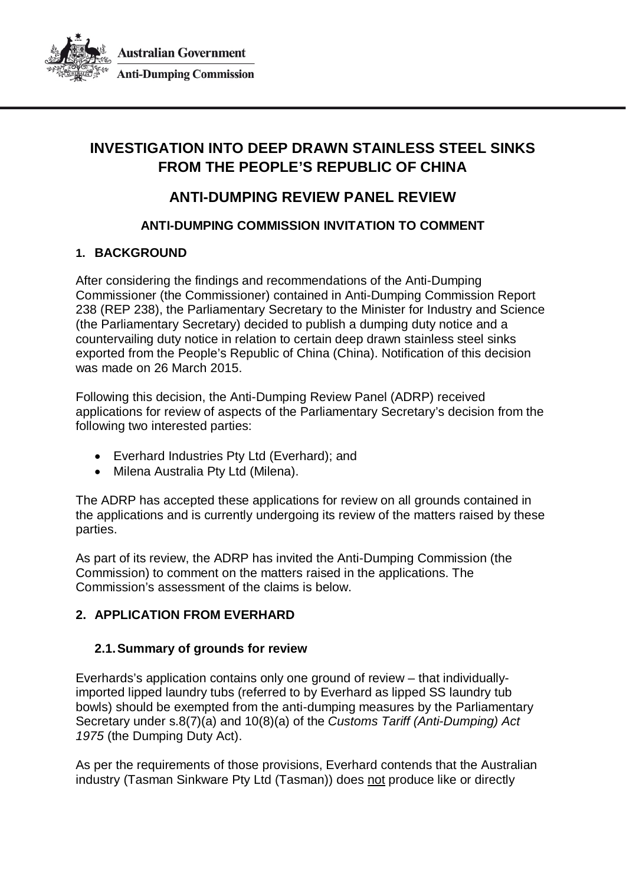

**Australian Government Anti-Dumping Commission** 

# **INVESTIGATION INTO DEEP DRAWN STAINLESS STEEL SINKS FROM THE PEOPLE'S REPUBLIC OF CHINA**

# **ANTI-DUMPING REVIEW PANEL REVIEW**

# **ANTI-DUMPING COMMISSION INVITATION TO COMMENT**

## **1. BACKGROUND**

After considering the findings and recommendations of the Anti-Dumping Commissioner (the Commissioner) contained in Anti-Dumping Commission Report 238 (REP 238), the Parliamentary Secretary to the Minister for Industry and Science (the Parliamentary Secretary) decided to publish a dumping duty notice and a countervailing duty notice in relation to certain deep drawn stainless steel sinks exported from the People's Republic of China (China). Notification of this decision was made on 26 March 2015.

Following this decision, the Anti-Dumping Review Panel (ADRP) received applications for review of aspects of the Parliamentary Secretary's decision from the following two interested parties:

- Everhard Industries Pty Ltd (Everhard); and
- Milena Australia Pty Ltd (Milena).

The ADRP has accepted these applications for review on all grounds contained in the applications and is currently undergoing its review of the matters raised by these parties.

As part of its review, the ADRP has invited the Anti-Dumping Commission (the Commission) to comment on the matters raised in the applications. The Commission's assessment of the claims is below.

## <span id="page-0-0"></span>**2. APPLICATION FROM EVERHARD**

## **2.1.Summary of grounds for review**

Everhards's application contains only one ground of review – that individuallyimported lipped laundry tubs (referred to by Everhard as lipped SS laundry tub bowls) should be exempted from the anti-dumping measures by the Parliamentary Secretary under s.8(7)(a) and 10(8)(a) of the *Customs Tariff (Anti-Dumping) Act 1975* (the Dumping Duty Act).

As per the requirements of those provisions, Everhard contends that the Australian industry (Tasman Sinkware Pty Ltd (Tasman)) does not produce like or directly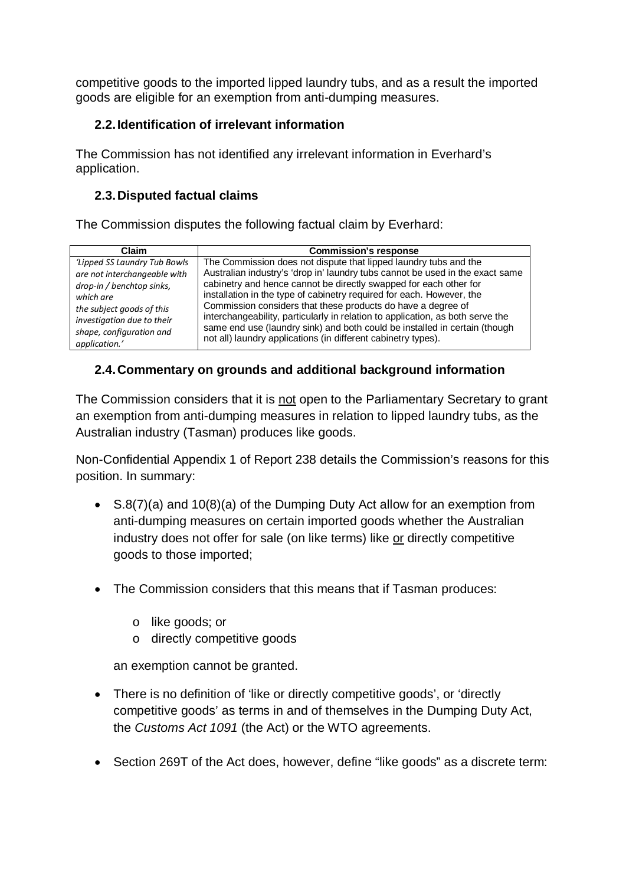competitive goods to the imported lipped laundry tubs, and as a result the imported goods are eligible for an exemption from anti-dumping measures.

# **2.2.Identification of irrelevant information**

The Commission has not identified any irrelevant information in Everhard's application.

# **2.3.Disputed factual claims**

The Commission disputes the following factual claim by Everhard:

| Claim                        | <b>Commission's response</b>                                                   |
|------------------------------|--------------------------------------------------------------------------------|
| 'Lipped SS Laundry Tub Bowls | The Commission does not dispute that lipped laundry tubs and the               |
| are not interchangeable with | Australian industry's 'drop in' laundry tubs cannot be used in the exact same  |
| drop-in / benchtop sinks,    | cabinetry and hence cannot be directly swapped for each other for              |
| which are                    | installation in the type of cabinetry required for each. However, the          |
| the subject goods of this    | Commission considers that these products do have a degree of                   |
| investigation due to their   | interchangeability, particularly in relation to application, as both serve the |
| shape, configuration and     | same end use (laundry sink) and both could be installed in certain (though     |
| application.'                | not all) laundry applications (in different cabinetry types).                  |

## **2.4.Commentary on grounds and additional background information**

The Commission considers that it is not open to the Parliamentary Secretary to grant an exemption from anti-dumping measures in relation to lipped laundry tubs, as the Australian industry (Tasman) produces like goods.

Non-Confidential Appendix 1 of Report 238 details the Commission's reasons for this position. In summary:

- S.8(7)(a) and 10(8)(a) of the Dumping Duty Act allow for an exemption from anti-dumping measures on certain imported goods whether the Australian industry does not offer for sale (on like terms) like or directly competitive goods to those imported;
- The Commission considers that this means that if Tasman produces:
	- o like goods; or
	- o directly competitive goods

an exemption cannot be granted.

- There is no definition of 'like or directly competitive goods', or 'directly competitive goods' as terms in and of themselves in the Dumping Duty Act, the *Customs Act 1091* (the Act) or the WTO agreements.
- Section 269T of the Act does, however, define "like goods" as a discrete term: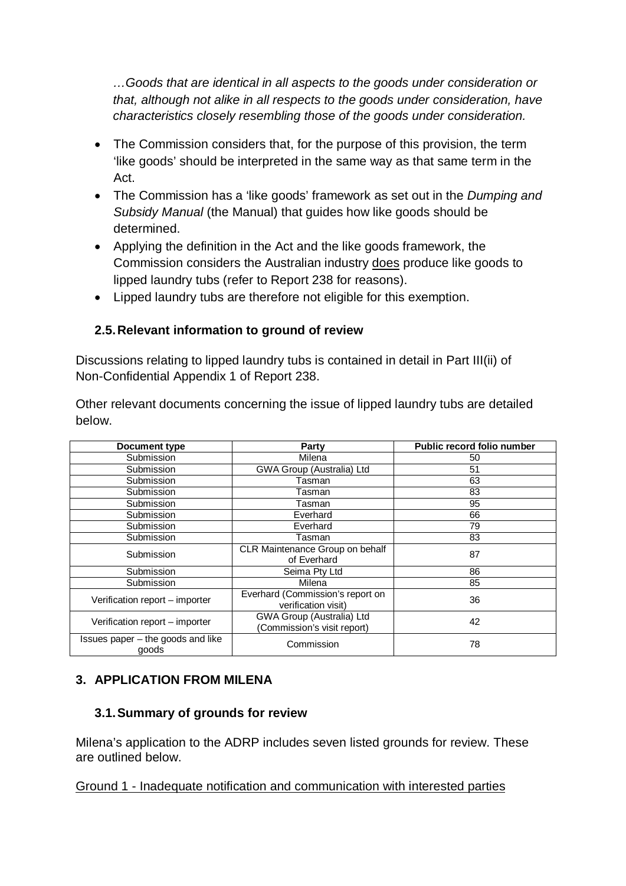*…Goods that are identical in all aspects to the goods under consideration or that, although not alike in all respects to the goods under consideration, have characteristics closely resembling those of the goods under consideration.*

- The Commission considers that, for the purpose of this provision, the term 'like goods' should be interpreted in the same way as that same term in the Act.
- The Commission has a 'like goods' framework as set out in the *Dumping and Subsidy Manual* (the Manual) that guides how like goods should be determined.
- Applying the definition in the Act and the like goods framework, the Commission considers the Australian industry does produce like goods to lipped laundry tubs (refer to Report 238 for reasons).
- Lipped laundry tubs are therefore not eligible for this exemption.

## **2.5.Relevant information to ground of review**

Discussions relating to lipped laundry tubs is contained in detail in Part III(ii) of Non-Confidential Appendix 1 of Report 238.

Other relevant documents concerning the issue of lipped laundry tubs are detailed below.

| Document type                              | Party                                                    | Public record folio number |
|--------------------------------------------|----------------------------------------------------------|----------------------------|
| Submission                                 | Milena                                                   | 50                         |
| Submission                                 | GWA Group (Australia) Ltd                                | 51                         |
| Submission                                 | Tasman                                                   | 63                         |
| Submission                                 | Tasman                                                   | 83                         |
| Submission                                 | Tasman                                                   | 95                         |
| Submission                                 | Everhard                                                 | 66                         |
| Submission                                 | Everhard                                                 | 79                         |
| Submission                                 | Tasman                                                   | 83                         |
| Submission                                 | CLR Maintenance Group on behalf<br>of Everhard           | 87                         |
| Submission                                 | Seima Pty Ltd                                            | 86                         |
| Submission                                 | Milena                                                   | 85                         |
| Verification report - importer             | Everhard (Commission's report on<br>verification visit)  | 36                         |
| Verification report - importer             | GWA Group (Australia) Ltd<br>(Commission's visit report) | 42                         |
| Issues paper - the goods and like<br>goods | Commission                                               | 78                         |

# **3. APPLICATION FROM MILENA**

# **3.1.Summary of grounds for review**

Milena's application to the ADRP includes seven listed grounds for review. These are outlined below.

Ground 1 - Inadequate notification and communication with interested parties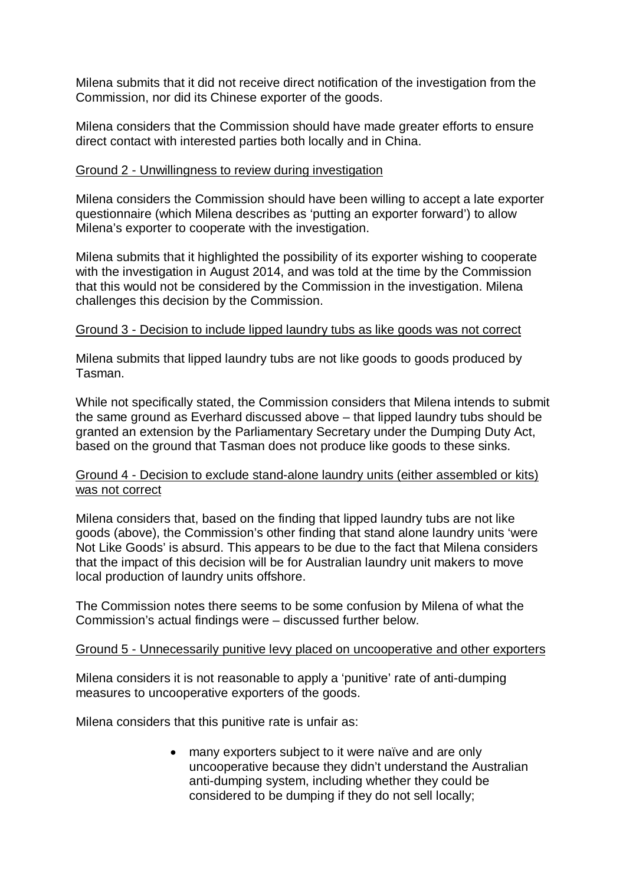Milena submits that it did not receive direct notification of the investigation from the Commission, nor did its Chinese exporter of the goods.

Milena considers that the Commission should have made greater efforts to ensure direct contact with interested parties both locally and in China.

### Ground 2 - Unwillingness to review during investigation

Milena considers the Commission should have been willing to accept a late exporter questionnaire (which Milena describes as 'putting an exporter forward') to allow Milena's exporter to cooperate with the investigation.

Milena submits that it highlighted the possibility of its exporter wishing to cooperate with the investigation in August 2014, and was told at the time by the Commission that this would not be considered by the Commission in the investigation. Milena challenges this decision by the Commission.

### Ground 3 - Decision to include lipped laundry tubs as like goods was not correct

Milena submits that lipped laundry tubs are not like goods to goods produced by Tasman.

While not specifically stated, the Commission considers that Milena intends to submit the same ground as Everhard discussed above – that lipped laundry tubs should be granted an extension by the Parliamentary Secretary under the Dumping Duty Act, based on the ground that Tasman does not produce like goods to these sinks.

### Ground 4 - Decision to exclude stand-alone laundry units (either assembled or kits) was not correct

Milena considers that, based on the finding that lipped laundry tubs are not like goods (above), the Commission's other finding that stand alone laundry units 'were Not Like Goods' is absurd. This appears to be due to the fact that Milena considers that the impact of this decision will be for Australian laundry unit makers to move local production of laundry units offshore.

The Commission notes there seems to be some confusion by Milena of what the Commission's actual findings were – discussed further below.

### Ground 5 - Unnecessarily punitive levy placed on uncooperative and other exporters

Milena considers it is not reasonable to apply a 'punitive' rate of anti-dumping measures to uncooperative exporters of the goods.

Milena considers that this punitive rate is unfair as:

• many exporters subject to it were naïve and are only uncooperative because they didn't understand the Australian anti-dumping system, including whether they could be considered to be dumping if they do not sell locally;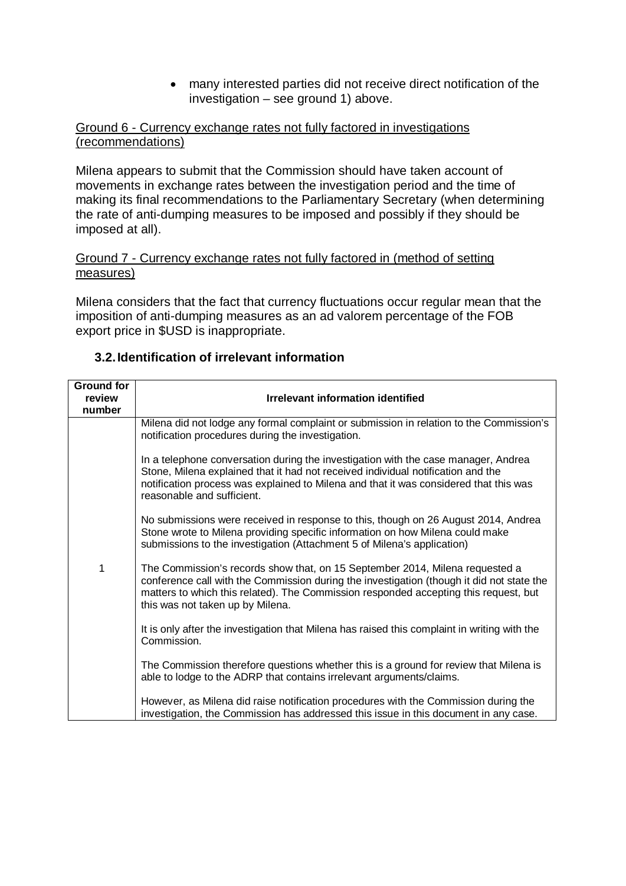• many interested parties did not receive direct notification of the investigation – see ground 1) above.

### Ground 6 - Currency exchange rates not fully factored in investigations (recommendations)

Milena appears to submit that the Commission should have taken account of movements in exchange rates between the investigation period and the time of making its final recommendations to the Parliamentary Secretary (when determining the rate of anti-dumping measures to be imposed and possibly if they should be imposed at all).

### Ground 7 - Currency exchange rates not fully factored in (method of setting measures)

Milena considers that the fact that currency fluctuations occur regular mean that the imposition of anti-dumping measures as an ad valorem percentage of the FOB export price in \$USD is inappropriate.

| <b>Ground for</b><br>review | <b>Irrelevant information identified</b>                                                                                                                                                                                                                                                              |  |
|-----------------------------|-------------------------------------------------------------------------------------------------------------------------------------------------------------------------------------------------------------------------------------------------------------------------------------------------------|--|
| number                      |                                                                                                                                                                                                                                                                                                       |  |
|                             | Milena did not lodge any formal complaint or submission in relation to the Commission's<br>notification procedures during the investigation.                                                                                                                                                          |  |
|                             | In a telephone conversation during the investigation with the case manager, Andrea<br>Stone, Milena explained that it had not received individual notification and the<br>notification process was explained to Milena and that it was considered that this was<br>reasonable and sufficient.         |  |
|                             | No submissions were received in response to this, though on 26 August 2014, Andrea<br>Stone wrote to Milena providing specific information on how Milena could make<br>submissions to the investigation (Attachment 5 of Milena's application)                                                        |  |
| 1                           | The Commission's records show that, on 15 September 2014, Milena requested a<br>conference call with the Commission during the investigation (though it did not state the<br>matters to which this related). The Commission responded accepting this request, but<br>this was not taken up by Milena. |  |
|                             | It is only after the investigation that Milena has raised this complaint in writing with the<br>Commission.                                                                                                                                                                                           |  |
|                             | The Commission therefore questions whether this is a ground for review that Milena is<br>able to lodge to the ADRP that contains irrelevant arguments/claims.                                                                                                                                         |  |
|                             | However, as Milena did raise notification procedures with the Commission during the<br>investigation, the Commission has addressed this issue in this document in any case.                                                                                                                           |  |

### **3.2.Identification of irrelevant information**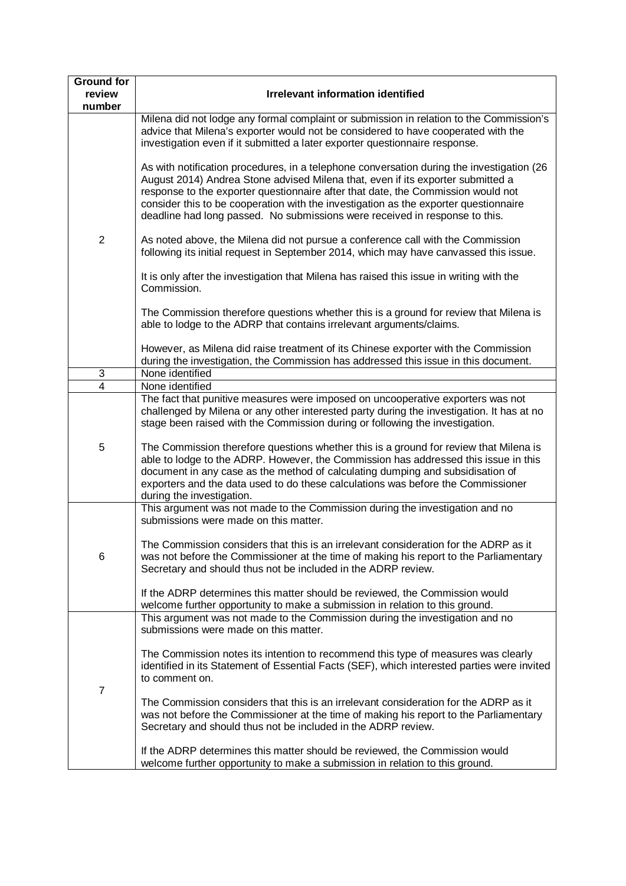| <b>Ground for</b>         |                                                                                                                                                                                                                                                                                                                                                                                                                                         |  |
|---------------------------|-----------------------------------------------------------------------------------------------------------------------------------------------------------------------------------------------------------------------------------------------------------------------------------------------------------------------------------------------------------------------------------------------------------------------------------------|--|
| review<br>number          | <b>Irrelevant information identified</b>                                                                                                                                                                                                                                                                                                                                                                                                |  |
| $\overline{2}$            | Milena did not lodge any formal complaint or submission in relation to the Commission's<br>advice that Milena's exporter would not be considered to have cooperated with the<br>investigation even if it submitted a later exporter questionnaire response.                                                                                                                                                                             |  |
|                           | As with notification procedures, in a telephone conversation during the investigation (26<br>August 2014) Andrea Stone advised Milena that, even if its exporter submitted a<br>response to the exporter questionnaire after that date, the Commission would not<br>consider this to be cooperation with the investigation as the exporter questionnaire<br>deadline had long passed. No submissions were received in response to this. |  |
|                           | As noted above, the Milena did not pursue a conference call with the Commission<br>following its initial request in September 2014, which may have canvassed this issue.                                                                                                                                                                                                                                                                |  |
|                           | It is only after the investigation that Milena has raised this issue in writing with the<br>Commission.                                                                                                                                                                                                                                                                                                                                 |  |
|                           | The Commission therefore questions whether this is a ground for review that Milena is<br>able to lodge to the ADRP that contains irrelevant arguments/claims.                                                                                                                                                                                                                                                                           |  |
|                           | However, as Milena did raise treatment of its Chinese exporter with the Commission<br>during the investigation, the Commission has addressed this issue in this document.                                                                                                                                                                                                                                                               |  |
| $\ensuremath{\mathsf{3}}$ | None identified                                                                                                                                                                                                                                                                                                                                                                                                                         |  |
| $\overline{4}$            | None identified                                                                                                                                                                                                                                                                                                                                                                                                                         |  |
| 5                         | The fact that punitive measures were imposed on uncooperative exporters was not<br>challenged by Milena or any other interested party during the investigation. It has at no<br>stage been raised with the Commission during or following the investigation.<br>The Commission therefore questions whether this is a ground for review that Milena is                                                                                   |  |
|                           | able to lodge to the ADRP. However, the Commission has addressed this issue in this<br>document in any case as the method of calculating dumping and subsidisation of<br>exporters and the data used to do these calculations was before the Commissioner<br>during the investigation.                                                                                                                                                  |  |
| 6                         | This argument was not made to the Commission during the investigation and no<br>submissions were made on this matter.                                                                                                                                                                                                                                                                                                                   |  |
|                           | The Commission considers that this is an irrelevant consideration for the ADRP as it<br>was not before the Commissioner at the time of making his report to the Parliamentary<br>Secretary and should thus not be included in the ADRP review.                                                                                                                                                                                          |  |
|                           | If the ADRP determines this matter should be reviewed, the Commission would                                                                                                                                                                                                                                                                                                                                                             |  |
| $\overline{7}$            | welcome further opportunity to make a submission in relation to this ground.<br>This argument was not made to the Commission during the investigation and no<br>submissions were made on this matter.                                                                                                                                                                                                                                   |  |
|                           | The Commission notes its intention to recommend this type of measures was clearly<br>identified in its Statement of Essential Facts (SEF), which interested parties were invited<br>to comment on.                                                                                                                                                                                                                                      |  |
|                           | The Commission considers that this is an irrelevant consideration for the ADRP as it<br>was not before the Commissioner at the time of making his report to the Parliamentary<br>Secretary and should thus not be included in the ADRP review.                                                                                                                                                                                          |  |
|                           | If the ADRP determines this matter should be reviewed, the Commission would<br>welcome further opportunity to make a submission in relation to this ground.                                                                                                                                                                                                                                                                             |  |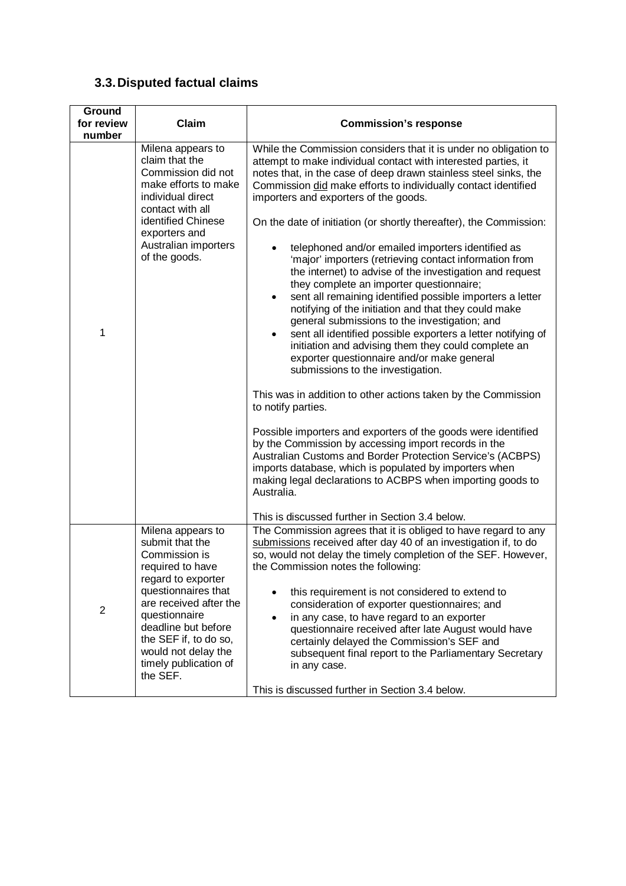# **3.3.Disputed factual claims**

| Ground         |                                                                                                                                                                                                                                                                               |                                                                                                                                                                                                                                                                                                                                                                                                                                                                                                                                                                                                                                                                                                                                                                                                                                                                                                                                                                                                                                                                                                                                                                                                                                                                                                                                                                                                                                                                                                 |
|----------------|-------------------------------------------------------------------------------------------------------------------------------------------------------------------------------------------------------------------------------------------------------------------------------|-------------------------------------------------------------------------------------------------------------------------------------------------------------------------------------------------------------------------------------------------------------------------------------------------------------------------------------------------------------------------------------------------------------------------------------------------------------------------------------------------------------------------------------------------------------------------------------------------------------------------------------------------------------------------------------------------------------------------------------------------------------------------------------------------------------------------------------------------------------------------------------------------------------------------------------------------------------------------------------------------------------------------------------------------------------------------------------------------------------------------------------------------------------------------------------------------------------------------------------------------------------------------------------------------------------------------------------------------------------------------------------------------------------------------------------------------------------------------------------------------|
| for review     | Claim                                                                                                                                                                                                                                                                         | <b>Commission's response</b>                                                                                                                                                                                                                                                                                                                                                                                                                                                                                                                                                                                                                                                                                                                                                                                                                                                                                                                                                                                                                                                                                                                                                                                                                                                                                                                                                                                                                                                                    |
| number         |                                                                                                                                                                                                                                                                               |                                                                                                                                                                                                                                                                                                                                                                                                                                                                                                                                                                                                                                                                                                                                                                                                                                                                                                                                                                                                                                                                                                                                                                                                                                                                                                                                                                                                                                                                                                 |
| 1              | Milena appears to<br>claim that the<br>Commission did not<br>make efforts to make<br>individual direct<br>contact with all<br>identified Chinese<br>exporters and<br>Australian importers<br>of the goods.                                                                    | While the Commission considers that it is under no obligation to<br>attempt to make individual contact with interested parties, it<br>notes that, in the case of deep drawn stainless steel sinks, the<br>Commission did make efforts to individually contact identified<br>importers and exporters of the goods.<br>On the date of initiation (or shortly thereafter), the Commission:<br>telephoned and/or emailed importers identified as<br>'major' importers (retrieving contact information from<br>the internet) to advise of the investigation and request<br>they complete an importer questionnaire;<br>sent all remaining identified possible importers a letter<br>$\bullet$<br>notifying of the initiation and that they could make<br>general submissions to the investigation; and<br>sent all identified possible exporters a letter notifying of<br>$\bullet$<br>initiation and advising them they could complete an<br>exporter questionnaire and/or make general<br>submissions to the investigation.<br>This was in addition to other actions taken by the Commission<br>to notify parties.<br>Possible importers and exporters of the goods were identified<br>by the Commission by accessing import records in the<br>Australian Customs and Border Protection Service's (ACBPS)<br>imports database, which is populated by importers when<br>making legal declarations to ACBPS when importing goods to<br>Australia.<br>This is discussed further in Section 3.4 below. |
| $\overline{2}$ | Milena appears to<br>submit that the<br>Commission is<br>required to have<br>regard to exporter<br>questionnaires that<br>are received after the<br>questionnaire<br>deadline but before<br>the SEF if, to do so,<br>would not delay the<br>timely publication of<br>the SEF. | The Commission agrees that it is obliged to have regard to any<br>submissions received after day 40 of an investigation if, to do<br>so, would not delay the timely completion of the SEF. However,<br>the Commission notes the following:<br>this requirement is not considered to extend to<br>consideration of exporter questionnaires; and<br>in any case, to have regard to an exporter<br>$\bullet$<br>questionnaire received after late August would have<br>certainly delayed the Commission's SEF and<br>subsequent final report to the Parliamentary Secretary<br>in any case.<br>This is discussed further in Section 3.4 below.                                                                                                                                                                                                                                                                                                                                                                                                                                                                                                                                                                                                                                                                                                                                                                                                                                                     |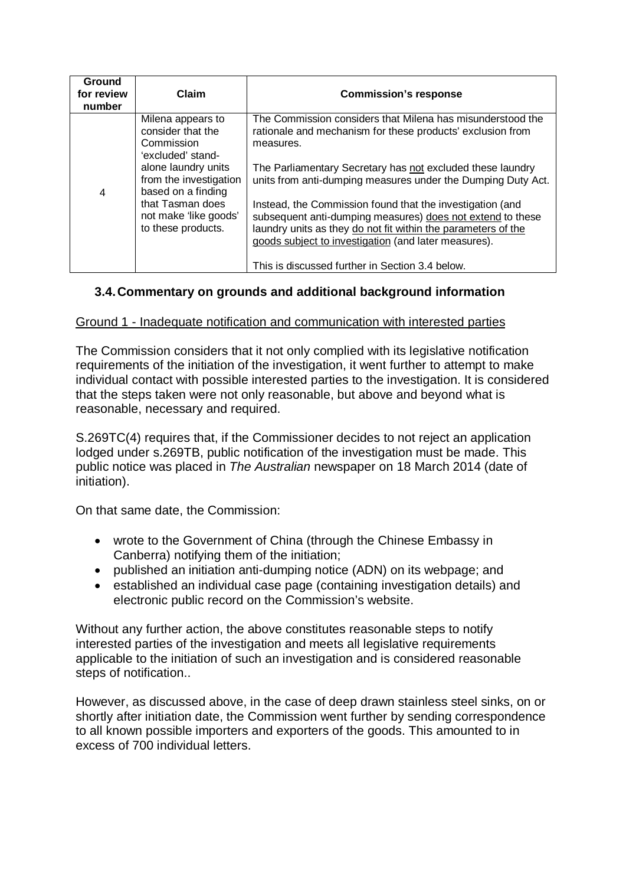| Ground<br>for review<br>number | Claim                                                                                                                                  | <b>Commission's response</b>                                                                                                                                                                                                                     |
|--------------------------------|----------------------------------------------------------------------------------------------------------------------------------------|--------------------------------------------------------------------------------------------------------------------------------------------------------------------------------------------------------------------------------------------------|
|                                | Milena appears to<br>consider that the<br>Commission<br>'excluded' stand-                                                              | The Commission considers that Milena has misunderstood the<br>rationale and mechanism for these products' exclusion from<br>measures.                                                                                                            |
| 4                              | alone laundry units<br>from the investigation<br>based on a finding<br>that Tasman does<br>not make 'like goods'<br>to these products. | The Parliamentary Secretary has not excluded these laundry<br>units from anti-dumping measures under the Dumping Duty Act.                                                                                                                       |
|                                |                                                                                                                                        | Instead, the Commission found that the investigation (and<br>subsequent anti-dumping measures) does not extend to these<br>laundry units as they do not fit within the parameters of the<br>goods subject to investigation (and later measures). |
|                                |                                                                                                                                        | This is discussed further in Section 3.4 below.                                                                                                                                                                                                  |

## <span id="page-7-0"></span>**3.4.Commentary on grounds and additional background information**

### Ground 1 - Inadequate notification and communication with interested parties

The Commission considers that it not only complied with its legislative notification requirements of the initiation of the investigation, it went further to attempt to make individual contact with possible interested parties to the investigation. It is considered that the steps taken were not only reasonable, but above and beyond what is reasonable, necessary and required.

S.269TC(4) requires that, if the Commissioner decides to not reject an application lodged under s.269TB, public notification of the investigation must be made. This public notice was placed in *The Australian* newspaper on 18 March 2014 (date of initiation).

On that same date, the Commission:

- wrote to the Government of China (through the Chinese Embassy in Canberra) notifying them of the initiation;
- published an initiation anti-dumping notice (ADN) on its webpage; and
- established an individual case page (containing investigation details) and electronic public record on the Commission's website.

Without any further action, the above constitutes reasonable steps to notify interested parties of the investigation and meets all legislative requirements applicable to the initiation of such an investigation and is considered reasonable steps of notification..

However, as discussed above, in the case of deep drawn stainless steel sinks, on or shortly after initiation date, the Commission went further by sending correspondence to all known possible importers and exporters of the goods. This amounted to in excess of 700 individual letters.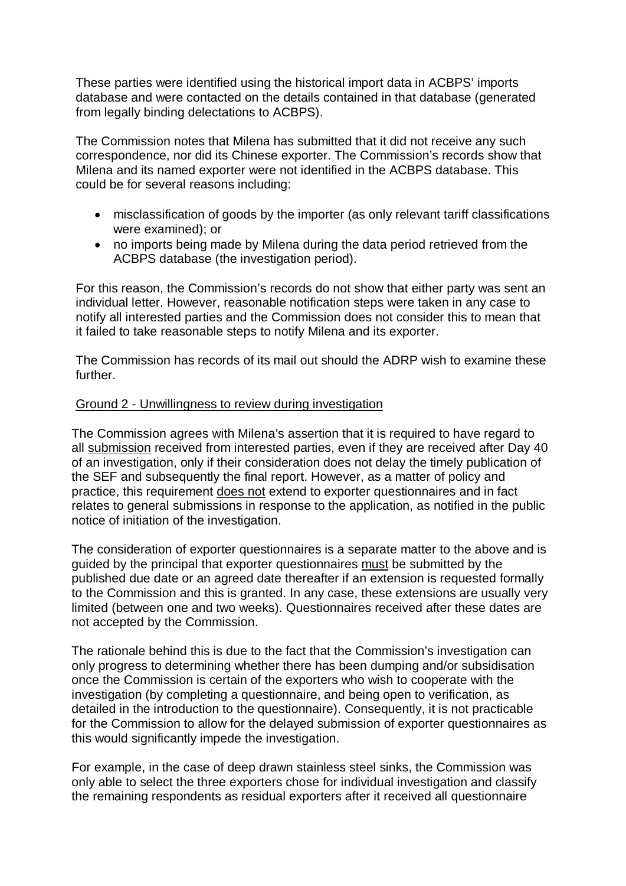These parties were identified using the historical import data in ACBPS' imports database and were contacted on the details contained in that database (generated from legally binding delectations to ACBPS).

The Commission notes that Milena has submitted that it did not receive any such correspondence, nor did its Chinese exporter. The Commission's records show that Milena and its named exporter were not identified in the ACBPS database. This could be for several reasons including:

- misclassification of goods by the importer (as only relevant tariff classifications were examined); or
- no imports being made by Milena during the data period retrieved from the ACBPS database (the investigation period).

For this reason, the Commission's records do not show that either party was sent an individual letter. However, reasonable notification steps were taken in any case to notify all interested parties and the Commission does not consider this to mean that it failed to take reasonable steps to notify Milena and its exporter.

The Commission has records of its mail out should the ADRP wish to examine these further.

### Ground 2 - Unwillingness to review during investigation

The Commission agrees with Milena's assertion that it is required to have regard to all submission received from interested parties, even if they are received after Day 40 of an investigation, only if their consideration does not delay the timely publication of the SEF and subsequently the final report. However, as a matter of policy and practice, this requirement does not extend to exporter questionnaires and in fact relates to general submissions in response to the application, as notified in the public notice of initiation of the investigation.

The consideration of exporter questionnaires is a separate matter to the above and is guided by the principal that exporter questionnaires must be submitted by the published due date or an agreed date thereafter if an extension is requested formally to the Commission and this is granted. In any case, these extensions are usually very limited (between one and two weeks). Questionnaires received after these dates are not accepted by the Commission.

The rationale behind this is due to the fact that the Commission's investigation can only progress to determining whether there has been dumping and/or subsidisation once the Commission is certain of the exporters who wish to cooperate with the investigation (by completing a questionnaire, and being open to verification, as detailed in the introduction to the questionnaire). Consequently, it is not practicable for the Commission to allow for the delayed submission of exporter questionnaires as this would significantly impede the investigation.

For example, in the case of deep drawn stainless steel sinks, the Commission was only able to select the three exporters chose for individual investigation and classify the remaining respondents as residual exporters after it received all questionnaire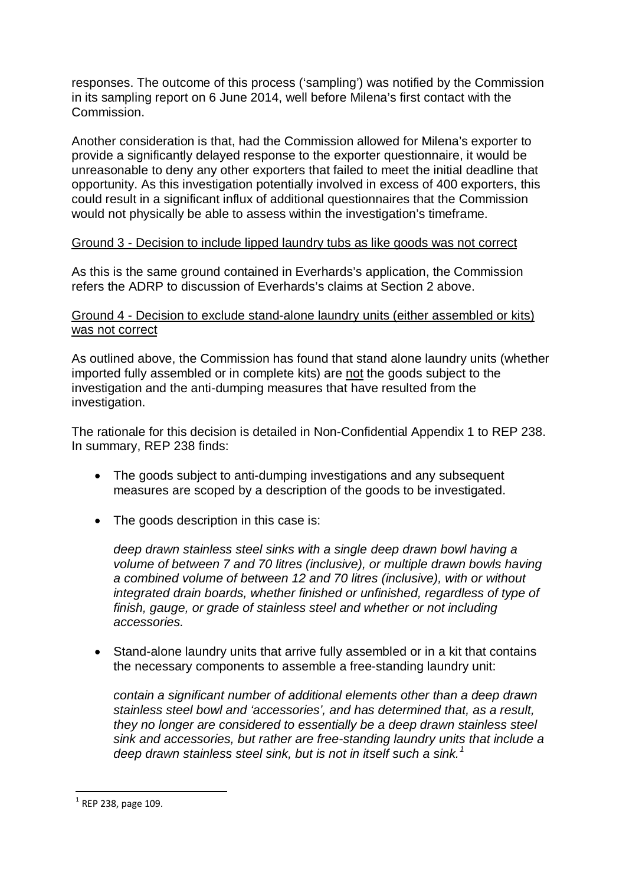responses. The outcome of this process ('sampling') was notified by the Commission in its sampling report on 6 June 2014, well before Milena's first contact with the Commission.

Another consideration is that, had the Commission allowed for Milena's exporter to provide a significantly delayed response to the exporter questionnaire, it would be unreasonable to deny any other exporters that failed to meet the initial deadline that opportunity. As this investigation potentially involved in excess of 400 exporters, this could result in a significant influx of additional questionnaires that the Commission would not physically be able to assess within the investigation's timeframe.

### Ground 3 - Decision to include lipped laundry tubs as like goods was not correct

As this is the same ground contained in Everhards's application, the Commission refers the ADRP to discussion of Everhards's claims at Section [2](#page-0-0) above.

### Ground 4 - Decision to exclude stand-alone laundry units (either assembled or kits) was not correct

As outlined above, the Commission has found that stand alone laundry units (whether imported fully assembled or in complete kits) are not the goods subject to the investigation and the anti-dumping measures that have resulted from the investigation.

The rationale for this decision is detailed in Non-Confidential Appendix 1 to REP 238. In summary, REP 238 finds:

- The goods subject to anti-dumping investigations and any subsequent measures are scoped by a description of the goods to be investigated.
- The goods description in this case is:

*deep drawn stainless steel sinks with a single deep drawn bowl having a volume of between 7 and 70 litres (inclusive), or multiple drawn bowls having a combined volume of between 12 and 70 litres (inclusive), with or without integrated drain boards, whether finished or unfinished, regardless of type of finish, gauge, or grade of stainless steel and whether or not including accessories.*

• Stand-alone laundry units that arrive fully assembled or in a kit that contains the necessary components to assemble a free-standing laundry unit:

*contain a significant number of additional elements other than a deep drawn stainless steel bowl and 'accessories', and has determined that, as a result, they no longer are considered to essentially be a deep drawn stainless steel sink and accessories, but rather are free-standing laundry units that include a deep drawn stainless steel sink, but is not in itself such a sink.[1](#page-9-0)*

1

<span id="page-9-0"></span> $1$  REP 238, page 109.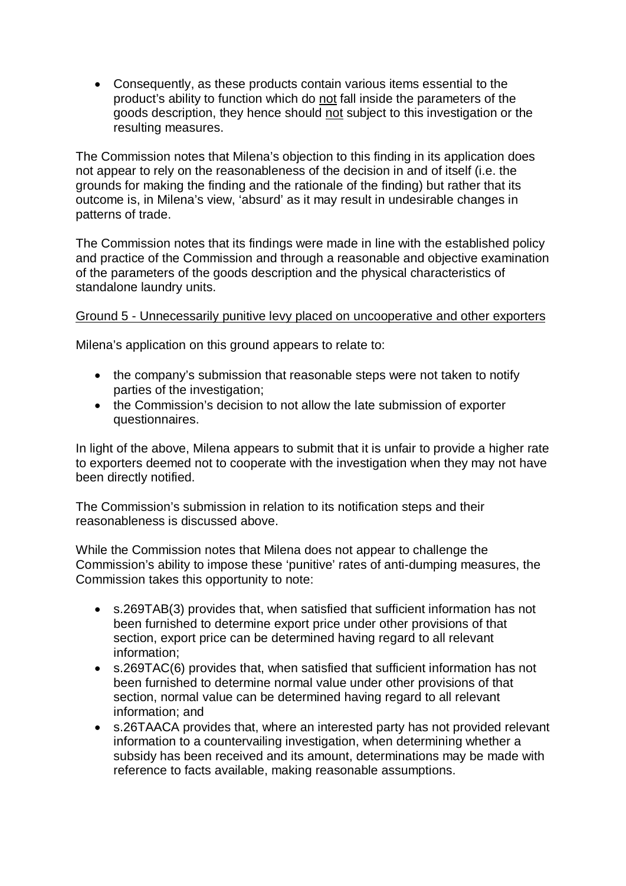• Consequently, as these products contain various items essential to the product's ability to function which do not fall inside the parameters of the goods description, they hence should not subject to this investigation or the resulting measures.

The Commission notes that Milena's objection to this finding in its application does not appear to rely on the reasonableness of the decision in and of itself (i.e. the grounds for making the finding and the rationale of the finding) but rather that its outcome is, in Milena's view, 'absurd' as it may result in undesirable changes in patterns of trade.

The Commission notes that its findings were made in line with the established policy and practice of the Commission and through a reasonable and objective examination of the parameters of the goods description and the physical characteristics of standalone laundry units.

### Ground 5 - Unnecessarily punitive levy placed on uncooperative and other exporters

Milena's application on this ground appears to relate to:

- the company's submission that reasonable steps were not taken to notify parties of the investigation;
- the Commission's decision to not allow the late submission of exporter questionnaires.

In light of the above, Milena appears to submit that it is unfair to provide a higher rate to exporters deemed not to cooperate with the investigation when they may not have been directly notified.

The Commission's submission in relation to its notification steps and their reasonableness is discussed above.

While the Commission notes that Milena does not appear to challenge the Commission's ability to impose these 'punitive' rates of anti-dumping measures, the Commission takes this opportunity to note:

- s.269TAB(3) provides that, when satisfied that sufficient information has not been furnished to determine export price under other provisions of that section, export price can be determined having regard to all relevant information;
- s.269TAC(6) provides that, when satisfied that sufficient information has not been furnished to determine normal value under other provisions of that section, normal value can be determined having regard to all relevant information; and
- s.26TAACA provides that, where an interested party has not provided relevant information to a countervailing investigation, when determining whether a subsidy has been received and its amount, determinations may be made with reference to facts available, making reasonable assumptions.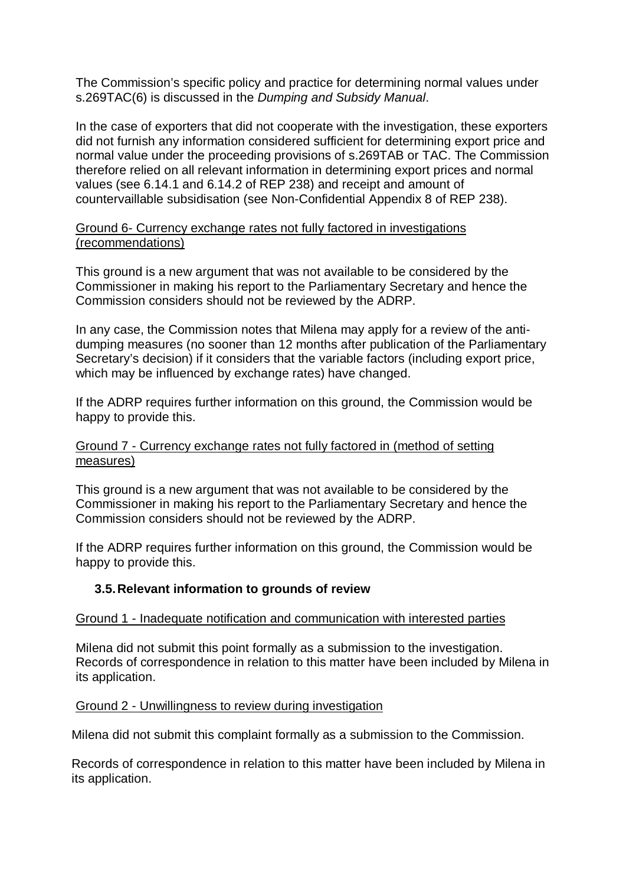The Commission's specific policy and practice for determining normal values under s.269TAC(6) is discussed in the *Dumping and Subsidy Manual*.

In the case of exporters that did not cooperate with the investigation, these exporters did not furnish any information considered sufficient for determining export price and normal value under the proceeding provisions of s.269TAB or TAC. The Commission therefore relied on all relevant information in determining export prices and normal values (see 6.14.1 and 6.14.2 of REP 238) and receipt and amount of countervaillable subsidisation (see Non-Confidential Appendix 8 of REP 238).

### Ground 6- Currency exchange rates not fully factored in investigations (recommendations)

This ground is a new argument that was not available to be considered by the Commissioner in making his report to the Parliamentary Secretary and hence the Commission considers should not be reviewed by the ADRP.

In any case, the Commission notes that Milena may apply for a review of the antidumping measures (no sooner than 12 months after publication of the Parliamentary Secretary's decision) if it considers that the variable factors (including export price, which may be influenced by exchange rates) have changed.

If the ADRP requires further information on this ground, the Commission would be happy to provide this.

### Ground 7 - Currency exchange rates not fully factored in (method of setting measures)

This ground is a new argument that was not available to be considered by the Commissioner in making his report to the Parliamentary Secretary and hence the Commission considers should not be reviewed by the ADRP.

If the ADRP requires further information on this ground, the Commission would be happy to provide this.

## **3.5.Relevant information to grounds of review**

### Ground 1 - Inadequate notification and communication with interested parties

Milena did not submit this point formally as a submission to the investigation. Records of correspondence in relation to this matter have been included by Milena in its application.

### Ground 2 - Unwillingness to review during investigation

Milena did not submit this complaint formally as a submission to the Commission.

Records of correspondence in relation to this matter have been included by Milena in its application.